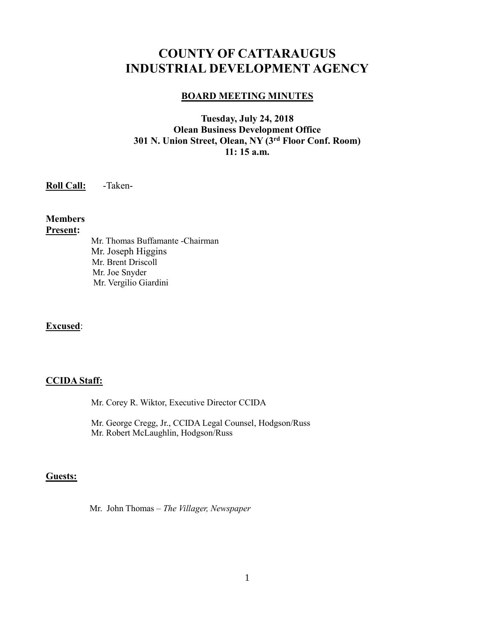# **COUNTY OF CATTARAUGUS INDUSTRIAL DEVELOPMENT AGENCY**

### **BOARD MEETING MINUTES**

# **Tuesday, July 24, 2018 Olean Business Development Office 301 N. Union Street, Olean, NY (3rd Floor Conf. Room) 11: 15 a.m.**

**Roll Call:** -Taken-

# **Members**

### **Present:**

Mr. Thomas Buffamante -Chairman Mr. Joseph Higgins Mr. Brent Driscoll Mr. Joe Snyder Mr. Vergilio Giardini

# **Excused**:

# **CCIDA Staff:**

Mr. Corey R. Wiktor, Executive Director CCIDA

Mr. George Cregg, Jr., CCIDA Legal Counsel, Hodgson/Russ Mr. Robert McLaughlin, Hodgson/Russ

### **Guests:**

Mr. John Thomas – *The Villager, Newspaper*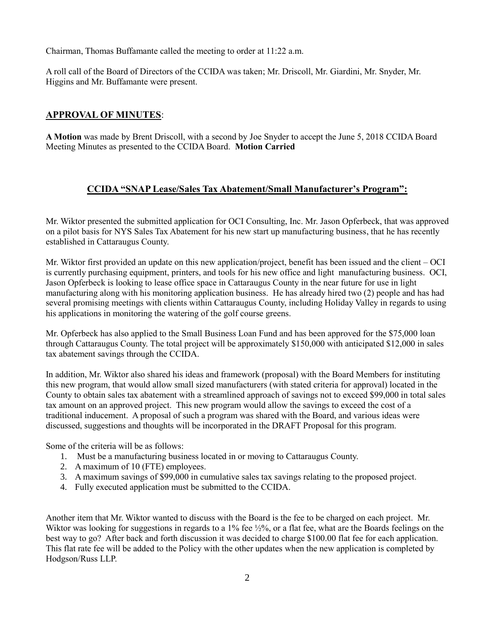Chairman, Thomas Buffamante called the meeting to order at 11:22 a.m.

A roll call of the Board of Directors of the CCIDA was taken; Mr. Driscoll, Mr. Giardini, Mr. Snyder, Mr. Higgins and Mr. Buffamante were present.

# **APPROVAL OF MINUTES**:

**A Motion** was made by Brent Driscoll, with a second by Joe Snyder to accept the June 5, 2018 CCIDA Board Meeting Minutes as presented to the CCIDA Board. **Motion Carried**

# **CCIDA "SNAP Lease/Sales Tax Abatement/Small Manufacturer's Program":**

Mr. Wiktor presented the submitted application for OCI Consulting, Inc. Mr. Jason Opferbeck, that was approved on a pilot basis for NYS Sales Tax Abatement for his new start up manufacturing business, that he has recently established in Cattaraugus County.

Mr. Wiktor first provided an update on this new application/project, benefit has been issued and the client – OCI is currently purchasing equipment, printers, and tools for his new office and light manufacturing business. OCI, Jason Opferbeck is looking to lease office space in Cattaraugus County in the near future for use in light manufacturing along with his monitoring application business. He has already hired two (2) people and has had several promising meetings with clients within Cattaraugus County, including Holiday Valley in regards to using his applications in monitoring the watering of the golf course greens.

Mr. Opferbeck has also applied to the Small Business Loan Fund and has been approved for the \$75,000 loan through Cattaraugus County. The total project will be approximately \$150,000 with anticipated \$12,000 in sales tax abatement savings through the CCIDA.

In addition, Mr. Wiktor also shared his ideas and framework (proposal) with the Board Members for instituting this new program, that would allow small sized manufacturers (with stated criteria for approval) located in the County to obtain sales tax abatement with a streamlined approach of savings not to exceed \$99,000 in total sales tax amount on an approved project. This new program would allow the savings to exceed the cost of a traditional inducement. A proposal of such a program was shared with the Board, and various ideas were discussed, suggestions and thoughts will be incorporated in the DRAFT Proposal for this program.

Some of the criteria will be as follows:

- 1. Must be a manufacturing business located in or moving to Cattaraugus County.
- 2. A maximum of 10 (FTE) employees.
- 3. A maximum savings of \$99,000 in cumulative sales tax savings relating to the proposed project.
- 4. Fully executed application must be submitted to the CCIDA.

Another item that Mr. Wiktor wanted to discuss with the Board is the fee to be charged on each project. Mr. Wiktor was looking for suggestions in regards to a 1% fee  $\frac{1}{2}\%$ , or a flat fee, what are the Boards feelings on the best way to go? After back and forth discussion it was decided to charge \$100.00 flat fee for each application. This flat rate fee will be added to the Policy with the other updates when the new application is completed by Hodgson/Russ LLP.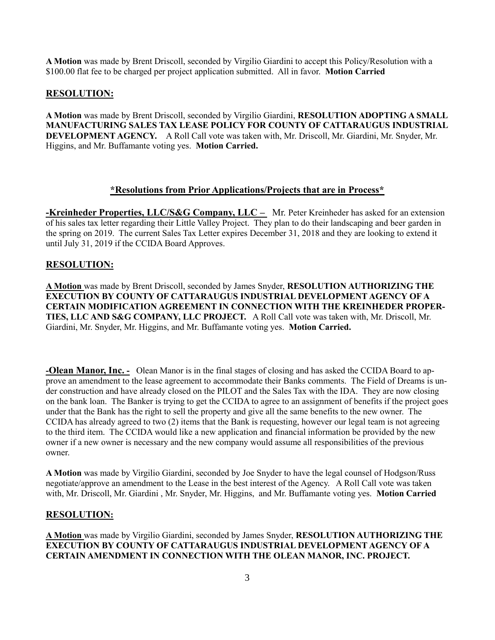**A Motion** was made by Brent Driscoll, seconded by Virgilio Giardini to accept this Policy/Resolution with a \$100.00 flat fee to be charged per project application submitted. All in favor. **Motion Carried**

## **RESOLUTION:**

**A Motion** was made by Brent Driscoll, seconded by Virgilio Giardini, **RESOLUTION ADOPTING A SMALL MANUFACTURING SALES TAX LEASE POLICY FOR COUNTY OF CATTARAUGUS INDUSTRIAL DEVELOPMENT AGENCY.** A Roll Call vote was taken with, Mr. Driscoll, Mr. Giardini, Mr. Snyder, Mr. Higgins, and Mr. Buffamante voting yes. **Motion Carried.**

### **\*Resolutions from Prior Applications/Projects that are in Process\***

**-Kreinheder Properties, LLC/S&G Company, LLC** – Mr. Peter Kreinheder has asked for an extension of his sales tax letter regarding their Little Valley Project. They plan to do their landscaping and beer garden in the spring on 2019. The current Sales Tax Letter expires December 31, 2018 and they are looking to extend it until July 31, 2019 if the CCIDA Board Approves.

### **RESOLUTION:**

**A Motion** was made by Brent Driscoll, seconded by James Snyder, **RESOLUTION AUTHORIZING THE EXECUTION BY COUNTY OF CATTARAUGUS INDUSTRIAL DEVELOPMENT AGENCY OF A CERTAIN MODIFICATION AGREEMENT IN CONNECTION WITH THE KREINHEDER PROPER-TIES, LLC AND S&G COMPANY, LLC PROJECT.** A Roll Call vote was taken with, Mr. Driscoll, Mr. Giardini, Mr. Snyder, Mr. Higgins, and Mr. Buffamante voting yes. **Motion Carried.**

**-Olean Manor, Inc. -** Olean Manor is in the final stages of closing and has asked the CCIDA Board to approve an amendment to the lease agreement to accommodate their Banks comments. The Field of Dreams is under construction and have already closed on the PILOT and the Sales Tax with the IDA. They are now closing on the bank loan. The Banker is trying to get the CCIDA to agree to an assignment of benefits if the project goes under that the Bank has the right to sell the property and give all the same benefits to the new owner. The CCIDA has already agreed to two (2) items that the Bank is requesting, however our legal team is not agreeing to the third item. The CCIDA would like a new application and financial information be provided by the new owner if a new owner is necessary and the new company would assume all responsibilities of the previous owner.

**A Motion** was made by Virgilio Giardini, seconded by Joe Snyder to have the legal counsel of Hodgson/Russ negotiate/approve an amendment to the Lease in the best interest of the Agency. A Roll Call vote was taken with, Mr. Driscoll, Mr. Giardini , Mr. Snyder, Mr. Higgins, and Mr. Buffamante voting yes. **Motion Carried**

#### **RESOLUTION:**

**A Motion** was made by Virgilio Giardini, seconded by James Snyder, **RESOLUTION AUTHORIZING THE EXECUTION BY COUNTY OF CATTARAUGUS INDUSTRIAL DEVELOPMENT AGENCY OF A CERTAIN AMENDMENT IN CONNECTION WITH THE OLEAN MANOR, INC. PROJECT.**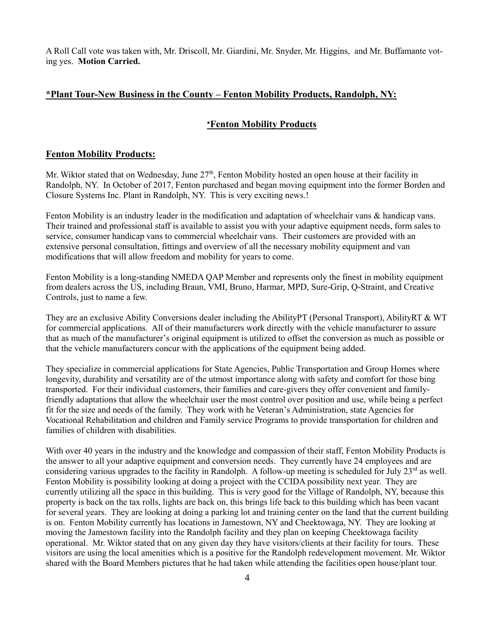A Roll Call vote was taken with, Mr. Driscoll, Mr. Giardini, Mr. Snyder, Mr. Higgins, and Mr. Buffamante voting yes. **Motion Carried.**

### **\*Plant Tour-New Business in the County – Fenton Mobility Products, Randolph, NY:**

### **\*Fenton Mobility Products**

#### **Fenton Mobility Products:**

Mr. Wiktor stated that on Wednesday, June 27<sup>th</sup>, Fenton Mobility hosted an open house at their facility in Randolph, NY. In October of 2017, Fenton purchased and began moving equipment into the former Borden and Closure Systems Inc. Plant in Randolph, NY. This is very exciting news.!

Fenton Mobility is an industry leader in the modification and adaptation of wheelchair vans & handicap vans. Their trained and professional staff is available to assist you with your adaptive equipment needs, form sales to service, consumer handicap vans to commercial wheelchair vans. Their customers are provided with an extensive personal consultation, fittings and overview of all the necessary mobility equipment and van modifications that will allow freedom and mobility for years to come.

Fenton Mobility is a long-standing NMEDA QAP Member and represents only the finest in mobility equipment from dealers across the US, including Braun, VMI, Bruno, Harmar, MPD, Sure-Grip, Q-Straint, and Creative Controls, just to name a few.

They are an exclusive Ability Conversions dealer including the AbilityPT (Personal Transport), AbilityRT & WT for commercial applications. All of their manufacturers work directly with the vehicle manufacturer to assure that as much of the manufacturer's original equipment is utilized to offset the conversion as much as possible or that the vehicle manufacturers concur with the applications of the equipment being added.

They specialize in commercial applications for State Agencies, Public Transportation and Group Homes where longevity, durability and versatility are of the utmost importance along with safety and comfort for those bing transported. For their individual customers, their families and care-givers they offer convenient and familyfriendly adaptations that allow the wheelchair user the most control over position and use, while being a perfect fit for the size and needs of the family. They work with he Veteran's Administration, state Agencies for Vocational Rehabilitation and children and Family service Programs to provide transportation for children and families of children with disabilities.

With over 40 years in the industry and the knowledge and compassion of their staff, Fenton Mobility Products is the answer to all your adaptive equipment and conversion needs. They currently have 24 employees and are considering various upgrades to the facility in Randolph. A follow-up meeting is scheduled for July  $23<sup>rd</sup>$  as well. Fenton Mobility is possibility looking at doing a project with the CCIDA possibility next year. They are currently utilizing all the space in this building. This is very good for the Village of Randolph, NY, because this property is back on the tax rolls, lights are back on, this brings life back to this building which has been vacant for several years. They are looking at doing a parking lot and training center on the land that the current building is on. Fenton Mobility currently has locations in Jamestown, NY and Cheektowaga, NY. They are looking at moving the Jamestown facility into the Randolph facility and they plan on keeping Cheektowaga facility operational. Mr. Wiktor stated that on any given day they have visitors/clients at their facility for tours. These visitors are using the local amenities which is a positive for the Randolph redevelopment movement. Mr. Wiktor shared with the Board Members pictures that he had taken while attending the facilities open house/plant tour.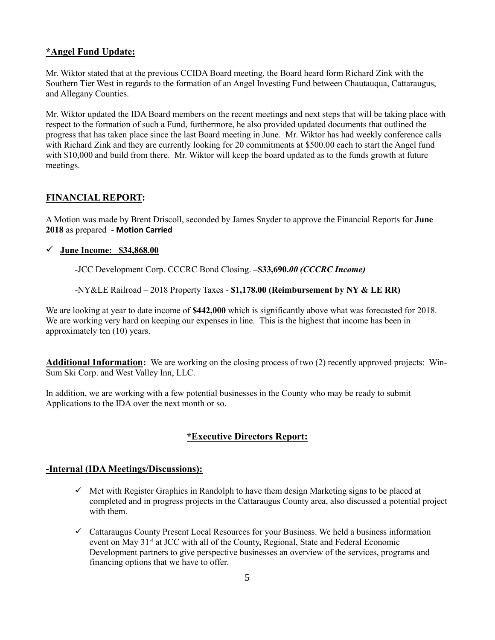### **\*Angel Fund Update:**

Mr. Wiktor stated that at the previous CCIDA Board meeting, the Board heard form Richard Zink with the Southern Tier West in regards to the formation of an Angel Investing Fund between Chautauqua, Cattaraugus, and Allegany Counties.

Mr. Wiktor updated the IDA Board members on the recent meetings and next steps that will be taking place with respect to the formation of such a Fund, furthermore, he also provided updated documents that outlined the progress that has taken place since the last Board meeting in June. Mr. Wiktor has had weekly conference calls with Richard Zink and they are currently looking for 20 commitments at \$500.00 each to start the Angel fund with \$10,000 and build from there. Mr. Wiktor will keep the board updated as to the funds growth at future meetings.

# **FINANCIAL REPORT:**

A Motion was made by Brent Driscoll, seconded by James Snyder to approve the Financial Reports for **June 2018** as prepared - **Motion Carried**

### ✓ **June Income: \$34,868.00**

*-*JCC Development Corp. CCCRC Bond Closing. **–\$33,690.***00 (CCCRC Income)*

-NY&LE Railroad – 2018 Property Taxes - **\$1,178.00 (Reimbursement by NY & LE RR)**

We are looking at year to date income of **\$442,000** which is significantly above what was forecasted for 2018. We are working very hard on keeping our expenses in line. This is the highest that income has been in approximately ten (10) years.

**Additional Information:** We are working on the closing process of two (2) recently approved projects: Win-Sum Ski Corp. and West Valley Inn, LLC.

In addition, we are working with a few potential businesses in the County who may be ready to submit Applications to the IDA over the next month or so.

# **\*Executive Directors Report:**

## **-Internal (IDA Meetings/Discussions):**

- $\checkmark$  Met with Register Graphics in Randolph to have them design Marketing signs to be placed at completed and in progress projects in the Cattaraugus County area, also discussed a potential project with them.
- $\checkmark$  Cattaraugus County Present Local Resources for your Business. We held a business information event on May 31<sup>st</sup> at JCC with all of the County, Regional, State and Federal Economic Development partners to give perspective businesses an overview of the services, programs and financing options that we have to offer.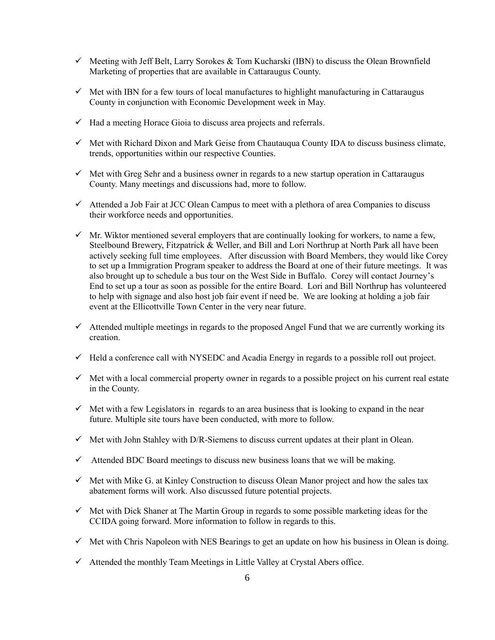- $\checkmark$  Meeting with Jeff Belt, Larry Sorokes & Tom Kucharski (IBN) to discuss the Olean Brownfield Marketing of properties that are available in Cattaraugus County.
- $\checkmark$  Met with IBN for a few tours of local manufactures to highlight manufacturing in Cattaraugus County in conjunction with Economic Development week in May.
- $\checkmark$  Had a meeting Horace Gioia to discuss area projects and referrals.
- $\checkmark$  Met with Richard Dixon and Mark Geise from Chautauqua County IDA to discuss business climate, trends, opportunities within our respective Counties.
- $\checkmark$  Met with Greg Sehr and a business owner in regards to a new startup operation in Cattaraugus County. Many meetings and discussions had, more to follow.
- ✓ Attended a Job Fair at JCC Olean Campus to meet with a plethora of area Companies to discuss their workforce needs and opportunities.
- $\checkmark$  Mr. Wiktor mentioned several employers that are continually looking for workers, to name a few, Steelbound Brewery, Fitzpatrick & Weller, and Bill and Lori Northrup at North Park all have been actively seeking full time employees. After discussion with Board Members, they would like Corey to set up a Immigration Program speaker to address the Board at one of their future meetings. It was also brought up to schedule a bus tour on the West Side in Buffalo. Corey will contact Journey's End to set up a tour as soon as possible for the entire Board. Lori and Bill Northrup has volunteered to help with signage and also host job fair event if need be. We are looking at holding a job fair event at the Ellicottville Town Center in the very near future.
- ✓ Attended multiple meetings in regards to the proposed Angel Fund that we are currently working its creation.
- $\checkmark$  Held a conference call with NYSEDC and Acadia Energy in regards to a possible roll out project.
- $\checkmark$  Met with a local commercial property owner in regards to a possible project on his current real estate in the County.
- $\checkmark$  Met with a few Legislators in regards to an area business that is looking to expand in the near future. Multiple site tours have been conducted, with more to follow.
- $\checkmark$  Met with John Stahley with D/R-Siemens to discuss current updates at their plant in Olean.
- $\checkmark$  Attended BDC Board meetings to discuss new business loans that we will be making.
- $\checkmark$  Met with Mike G. at Kinley Construction to discuss Olean Manor project and how the sales tax abatement forms will work. Also discussed future potential projects.
- $\checkmark$  Met with Dick Shaner at The Martin Group in regards to some possible marketing ideas for the CCIDA going forward. More information to follow in regards to this.
- $\checkmark$  Met with Chris Napoleon with NES Bearings to get an update on how his business in Olean is doing.
- $\checkmark$  Attended the monthly Team Meetings in Little Valley at Crystal Abers office.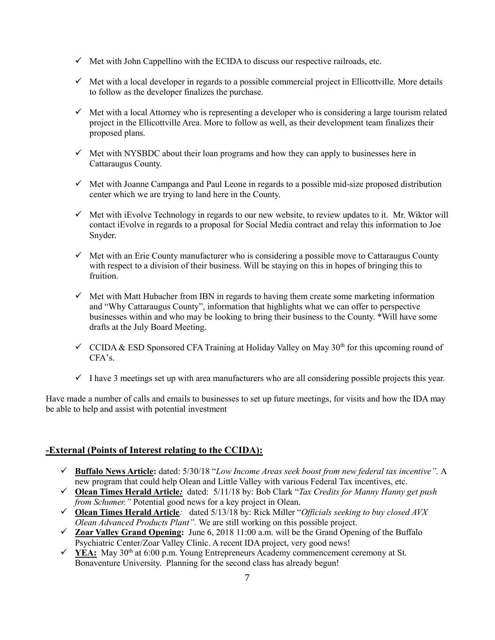- $\checkmark$  Met with John Cappellino with the ECIDA to discuss our respective railroads, etc.
- $\checkmark$  Met with a local developer in regards to a possible commercial project in Ellicottville. More details to follow as the developer finalizes the purchase.
- $\checkmark$  Met with a local Attorney who is representing a developer who is considering a large tourism related project in the Ellicottville Area. More to follow as well, as their development team finalizes their proposed plans.
- $\checkmark$  Met with NYSBDC about their loan programs and how they can apply to businesses here in Cattaraugus County.
- $\checkmark$  Met with Joanne Campanga and Paul Leone in regards to a possible mid-size proposed distribution center which we are trying to land here in the County.
- $\checkmark$  Met with iEvolve Technology in regards to our new website, to review updates to it. Mr. Wiktor will contact iEvolve in regards to a proposal for Social Media contract and relay this information to Joe Snyder.
- $\checkmark$  Met with an Erie County manufacturer who is considering a possible move to Cattaraugus County with respect to a division of their business. Will be staying on this in hopes of bringing this to fruition.
- $\checkmark$  Met with Matt Hubacher from IBN in regards to having them create some marketing information and "Why Cattaraugus County", information that highlights what we can offer to perspective businesses within and who may be looking to bring their business to the County. \*Will have some drafts at the July Board Meeting.
- $\checkmark$  CCIDA & ESD Sponsored CFA Training at Holiday Valley on May 30<sup>th</sup> for this upcoming round of  $CFA's.$
- $\checkmark$  I have 3 meetings set up with area manufacturers who are all considering possible projects this year.

Have made a number of calls and emails to businesses to set up future meetings, for visits and how the IDA may be able to help and assist with potential investment

# **-External (Points of Interest relating to the CCIDA):**

- ✓ **Buffalo News Article:** dated: 5/30/18 "*Low Income Areas seek boost from new federal tax incentive".* A new program that could help Olean and Little Valley with various Federal Tax incentives, etc.
- ✓ **Olean Times Herald Article***:* dated: 5/11/18 by: Bob Clark "*Tax Credits for Manny Hanny get push from Schumer.*" Potential good news for a key project in Olean.
- ✓ **Olean Times Herald Article***:* dated 5/13/18 by: Rick Miller "*Officials seeking to buy closed AVX Olean Advanced Products Plant".* We are still working on this possible project.
- ✓ **Zoar Valley Grand Opening:** June 6, 2018 11:00 a.m. will be the Grand Opening of the Buffalo Psychiatric Center/Zoar Valley Clinic. A recent IDA project, very good news!
- $\checkmark$  **YEA:** May 30<sup>th</sup> at 6:00 p.m. Young Entrepreneurs Academy commencement ceremony at St. Bonaventure University. Planning for the second class has already begun!